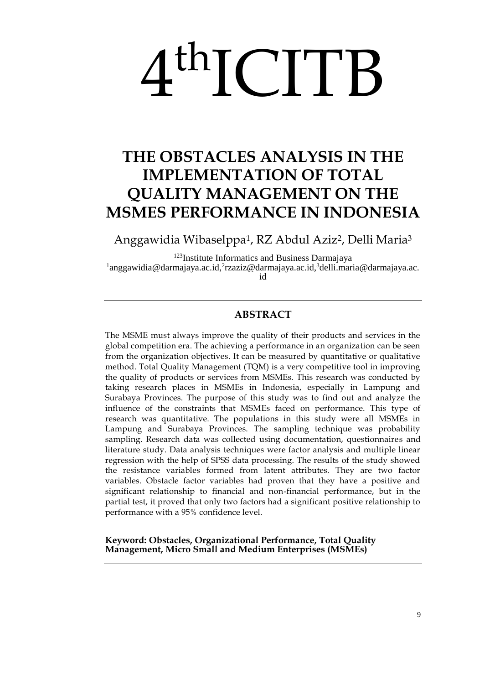# 4 thICITB

# **THE OBSTACLES ANALYSIS IN THE IMPLEMENTATION OF TOTAL QUALITY MANAGEMENT ON THE MSMES PERFORMANCE IN INDONESIA**

Anggawidia Wibaselppa1, RZ Abdul Aziz2, Delli Maria<sup>3</sup>

<sup>123</sup>Institute Informatics and Business Darmajaya <sup>1</sup>[anggawidia@darmajaya.ac.id,](mailto:1anggawidia@darmajaya.ac.id)<sup>2</sup>rzaziz@darmajaya.ac.id,<sup>3</sup>delli.maria@darmajaya.ac. id

# **ABSTRACT**

The MSME must always improve the quality of their products and services in the global competition era. The achieving a performance in an organization can be seen from the organization objectives. It can be measured by quantitative or qualitative method. Total Quality Management (TQM) is a very competitive tool in improving the quality of products or services from MSMEs. This research was conducted by taking research places in MSMEs in Indonesia, especially in Lampung and Surabaya Provinces. The purpose of this study was to find out and analyze the influence of the constraints that MSMEs faced on performance. This type of research was quantitative. The populations in this study were all MSMEs in Lampung and Surabaya Provinces. The sampling technique was probability sampling. Research data was collected using documentation, questionnaires and literature study. Data analysis techniques were factor analysis and multiple linear regression with the help of SPSS data processing. The results of the study showed the resistance variables formed from latent attributes. They are two factor variables. Obstacle factor variables had proven that they have a positive and significant relationship to financial and non-financial performance, but in the partial test, it proved that only two factors had a significant positive relationship to performance with a 95% confidence level.

**Keyword: Obstacles, Organizational Performance, Total Quality Management, Micro Small and Medium Enterprises (MSMEs)**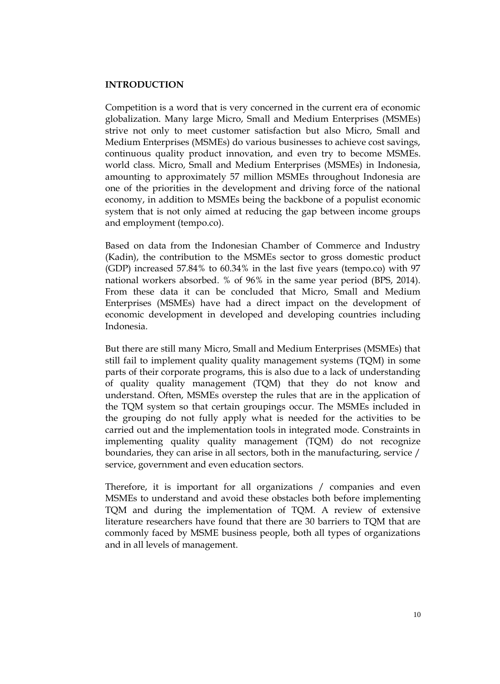#### **INTRODUCTION**

Competition is a word that is very concerned in the current era of economic globalization. Many large Micro, Small and Medium Enterprises (MSMEs) strive not only to meet customer satisfaction but also Micro, Small and Medium Enterprises (MSMEs) do various businesses to achieve cost savings, continuous quality product innovation, and even try to become MSMEs. world class. Micro, Small and Medium Enterprises (MSMEs) in Indonesia, amounting to approximately 57 million MSMEs throughout Indonesia are one of the priorities in the development and driving force of the national economy, in addition to MSMEs being the backbone of a populist economic system that is not only aimed at reducing the gap between income groups and employment (tempo.co).

Based on data from the Indonesian Chamber of Commerce and Industry (Kadin), the contribution to the MSMEs sector to gross domestic product (GDP) increased 57.84% to 60.34% in the last five years (tempo.co) with 97 national workers absorbed. % of 96% in the same year period (BPS, 2014). From these data it can be concluded that Micro, Small and Medium Enterprises (MSMEs) have had a direct impact on the development of economic development in developed and developing countries including Indonesia.

But there are still many Micro, Small and Medium Enterprises (MSMEs) that still fail to implement quality quality management systems (TQM) in some parts of their corporate programs, this is also due to a lack of understanding of quality quality management (TQM) that they do not know and understand. Often, MSMEs overstep the rules that are in the application of the TQM system so that certain groupings occur. The MSMEs included in the grouping do not fully apply what is needed for the activities to be carried out and the implementation tools in integrated mode. Constraints in implementing quality quality management (TQM) do not recognize boundaries, they can arise in all sectors, both in the manufacturing, service / service, government and even education sectors.

Therefore, it is important for all organizations / companies and even MSMEs to understand and avoid these obstacles both before implementing TQM and during the implementation of TQM. A review of extensive literature researchers have found that there are 30 barriers to TQM that are commonly faced by MSME business people, both all types of organizations and in all levels of management.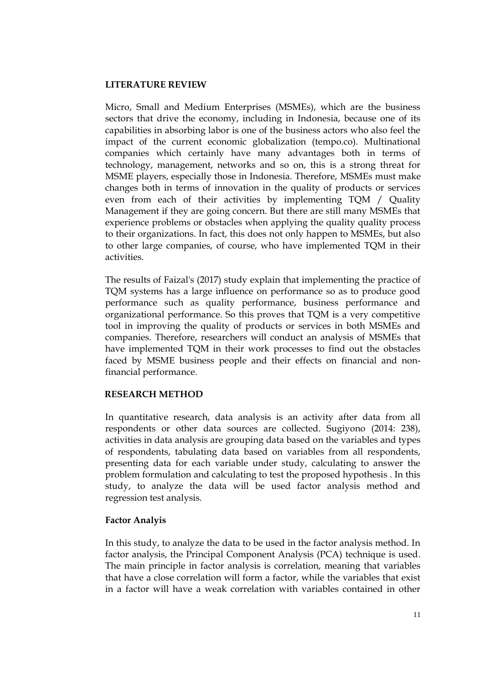#### **LITERATURE REVIEW**

Micro, Small and Medium Enterprises (MSMEs), which are the business sectors that drive the economy, including in Indonesia, because one of its capabilities in absorbing labor is one of the business actors who also feel the impact of the current economic globalization (tempo.co). Multinational companies which certainly have many advantages both in terms of technology, management, networks and so on, this is a strong threat for MSME players, especially those in Indonesia. Therefore, MSMEs must make changes both in terms of innovation in the quality of products or services even from each of their activities by implementing TQM / Quality Management if they are going concern. But there are still many MSMEs that experience problems or obstacles when applying the quality quality process to their organizations. In fact, this does not only happen to MSMEs, but also to other large companies, of course, who have implemented TQM in their activities.

The results of Faizal's (2017) study explain that implementing the practice of TQM systems has a large influence on performance so as to produce good performance such as quality performance, business performance and organizational performance. So this proves that TQM is a very competitive tool in improving the quality of products or services in both MSMEs and companies. Therefore, researchers will conduct an analysis of MSMEs that have implemented TQM in their work processes to find out the obstacles faced by MSME business people and their effects on financial and nonfinancial performance.

# **RESEARCH METHOD**

In quantitative research, data analysis is an activity after data from all respondents or other data sources are collected. Sugiyono (2014: 238), activities in data analysis are grouping data based on the variables and types of respondents, tabulating data based on variables from all respondents, presenting data for each variable under study, calculating to answer the problem formulation and calculating to test the proposed hypothesis . In this study, to analyze the data will be used factor analysis method and regression test analysis.

# **Factor Analyis**

In this study, to analyze the data to be used in the factor analysis method. In factor analysis, the Principal Component Analysis (PCA) technique is used. The main principle in factor analysis is correlation, meaning that variables that have a close correlation will form a factor, while the variables that exist in a factor will have a weak correlation with variables contained in other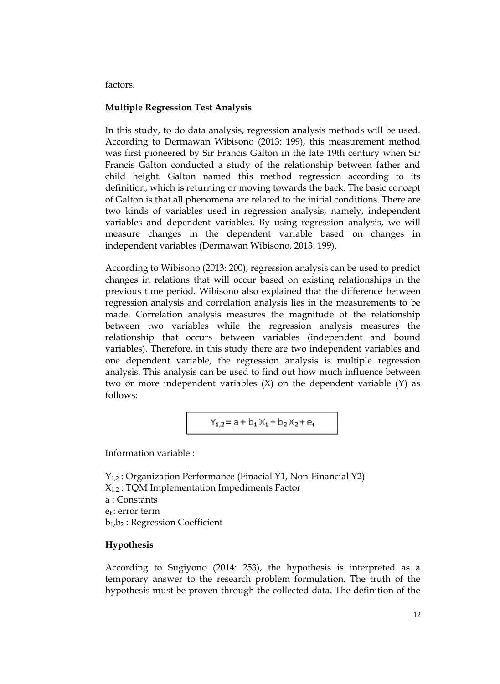factors.

# **Multiple Regression Test Analysis**

In this study, to do data analysis, regression analysis methods will be used. According to Dermawan Wibisono (2013: 199), this measurement method was first pioneered by Sir Francis Galton in the late 19th century when Sir Francis Galton conducted a study of the relationship between father and child height. Galton named this method regression according to its definition, which is returning or moving towards the back. The basic concept of Galton is that all phenomena are related to the initial conditions. There are two kinds of variables used in regression analysis, namely, independent variables and dependent variables. By using regression analysis, we will measure changes in the dependent variable based on changes in independent variables (Dermawan Wibisono, 2013: 199).

According to Wibisono (2013: 200), regression analysis can be used to predict changes in relations that will occur based on existing relationships in the previous time period. Wibisono also explained that the difference between regression analysis and correlation analysis lies in the measurements to be made. Correlation analysis measures the magnitude of the relationship between two variables while the regression analysis measures the relationship that occurs between variables (independent and bound variables). Therefore, in this study there are two independent variables and one dependent variable, the regression analysis is multiple regression analysis. This analysis can be used to find out how much influence between two or more independent variables (X) on the dependent variable (Y) as follows:

$$
Y_{1,2}\!= a + b_1\,X_1 + b_2\,X_2 + e_t
$$

Information variable :

Y1,2 : Organization Performance (Finacial Y1, Non-Financial Y2) X1,2 : TQM Implementation Impediments Factor a : Constants  $e_t$  · error term b1,b<sup>2</sup> : Regression Coefficient

# **Hypothesis**

According to Sugiyono (2014: 253), the hypothesis is interpreted as a temporary answer to the research problem formulation. The truth of the hypothesis must be proven through the collected data. The definition of the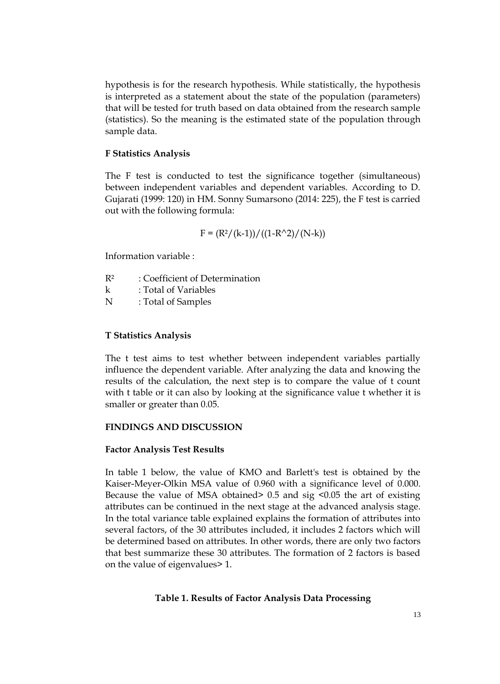hypothesis is for the research hypothesis. While statistically, the hypothesis is interpreted as a statement about the state of the population (parameters) that will be tested for truth based on data obtained from the research sample (statistics). So the meaning is the estimated state of the population through sample data.

# **F Statistics Analysis**

The F test is conducted to test the significance together (simultaneous) between independent variables and dependent variables. According to D. Gujarati (1999: 120) in HM. Sonny Sumarsono (2014: 225), the F test is carried out with the following formula:

$$
F = (R^2/(k-1))/(1-R^2)/(N-k))
$$

Information variable :

- R² : Coefficient of Determination
- k : Total of Variables
- N : Total of Samples

#### **T Statistics Analysis**

The t test aims to test whether between independent variables partially influence the dependent variable. After analyzing the data and knowing the results of the calculation, the next step is to compare the value of t count with t table or it can also by looking at the significance value t whether it is smaller or greater than 0.05.

## **FINDINGS AND DISCUSSION**

#### **Factor Analysis Test Results**

In table 1 below, the value of KMO and Barlett's test is obtained by the Kaiser-Meyer-Olkin MSA value of 0.960 with a significance level of 0.000. Because the value of MSA obtained> 0.5 and sig <0.05 the art of existing attributes can be continued in the next stage at the advanced analysis stage. In the total variance table explained explains the formation of attributes into several factors, of the 30 attributes included, it includes 2 factors which will be determined based on attributes. In other words, there are only two factors that best summarize these 30 attributes. The formation of 2 factors is based on the value of eigenvalues> 1.

#### **Table 1. Results of Factor Analysis Data Processing**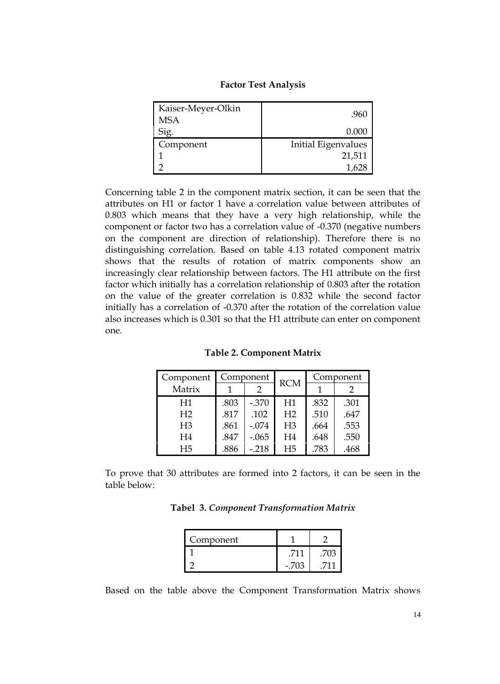| Kaiser-Meyer-Olkin<br><b>MSA</b> | .960                |
|----------------------------------|---------------------|
| Sig.                             | 0.000               |
| Component                        | Initial Eigenvalues |
|                                  | 21,511              |
|                                  |                     |

#### **Factor Test Analysis**

Concerning table 2 in the component matrix section, it can be seen that the attributes on H1 or factor 1 have a correlation value between attributes of 0.803 which means that they have a very high relationship, while the component or factor two has a correlation value of -0.370 (negative numbers on the component are direction of relationship). Therefore there is no distinguishing correlation. Based on table 4.13 rotated component matrix shows that the results of rotation of matrix components show an increasingly clear relationship between factors. The H1 attribute on the first factor which initially has a correlation relationship of 0.803 after the rotation on the value of the greater correlation is 0.832 while the second factor initially has a correlation of -0.370 after the rotation of the correlation value also increases which is 0.301 so that the H1 attribute can enter on component one.

| Component      |      | Component<br><b>RCM</b> |                | Component |      |
|----------------|------|-------------------------|----------------|-----------|------|
| Matrix         |      | 2                       |                |           |      |
| H1             | .803 | $-.370$                 | H1             | .832      | .301 |
| H <sub>2</sub> | .817 | .102                    | H <sub>2</sub> | .510      | .647 |
| H <sub>3</sub> | .861 | $-.074$                 | H <sub>3</sub> | .664      | .553 |
| H <sub>4</sub> | .847 | $-.065$                 | H <sub>4</sub> | .648      | .550 |
| H <sub>5</sub> | .886 | $-.218$                 | H <sub>5</sub> | .783      | .468 |

**Table 2. Component Matrix**

To prove that 30 attributes are formed into 2 factors, it can be seen in the table below:

**Tabel 3.** *Component Transformation Matrix*

| Component |       |  |
|-----------|-------|--|
|           |       |  |
|           | - 703 |  |

Based on the table above the Component Transformation Matrix shows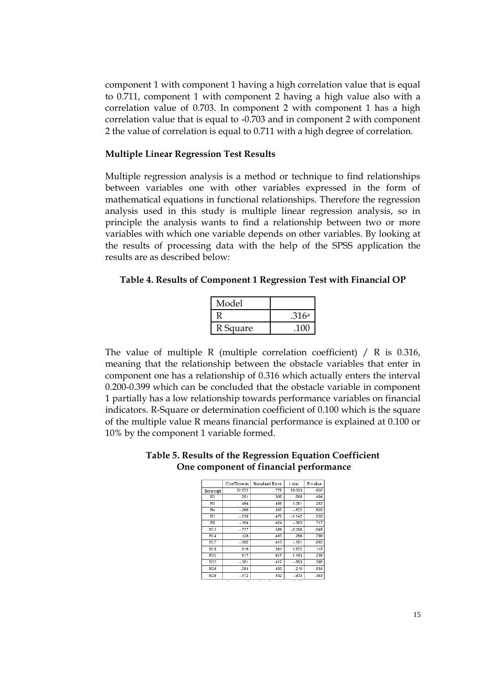component 1 with component 1 having a high correlation value that is equal to 0.711, component 1 with component 2 having a high value also with a correlation value of 0.703. In component 2 with component 1 has a high correlation value that is equal to -0.703 and in component 2 with component 2 the value of correlation is equal to 0.711 with a high degree of correlation.

#### **Multiple Linear Regression Test Results**

Multiple regression analysis is a method or technique to find relationships between variables one with other variables expressed in the form of mathematical equations in functional relationships. Therefore the regression analysis used in this study is multiple linear regression analysis, so in principle the analysis wants to find a relationship between two or more variables with which one variable depends on other variables. By looking at the results of processing data with the help of the SPSS application the results are as described below:

#### **Table 4. Results of Component 1 Regression Test with Financial OP**

| Model    |                   |
|----------|-------------------|
|          | .316 <sup>a</sup> |
| R Square |                   |

The value of multiple R (multiple correlation coefficient) / R is 0.316, meaning that the relationship between the obstacle variables that enter in component one has a relationship of 0.316 which actually enters the interval 0.200-0.399 which can be concluded that the obstacle variable in component 1 partially has a low relationship towards performance variables on financial indicators. R-Square or determination coefficient of 0.100 which is the square of the multiple value R means financial performance is explained at 0.100 or 10% by the component 1 variable formed.

|                             | Coefficients | <b>Standard Error</b> | t stat   | P-value |
|-----------------------------|--------------|-----------------------|----------|---------|
| Intercept                   | 22.572       | .778                  | 29.003   | .000    |
| Hl                          | .251         | .366                  | .686     | .494    |
| H <sub>3</sub>              | .494         | .458                  | 1.081    | .282    |
| H <sub>4</sub>              | $-266$       | .397                  | $-.672$  | .503    |
| H <sub>5</sub>              | $-.538$      | .472                  | $-1.142$ | .256    |
| H8                          | $-154$       | .424                  | $-363$   | .717    |
| H12                         | $-777$       | .389                  | $-2.000$ | .048    |
| H14                         | .126         | .493                  | .256     | .799    |
| H17                         | $-062$       | .413                  | $-151$   | .880    |
| H18                         | .615         | .391                  | 1.572    | .118    |
| H21                         | .617         | .517                  | 1.193    | .235    |
| H25                         | $-351$       | .412                  | $-.853$  | .395    |
| H <sub>26</sub>             | .084         | .400                  | .210     | .834    |
| H <sub>2</sub> <sub>8</sub> | $-412$       | 442                   | - 933    | 353     |

|                                        | Table 5. Results of the Regression Equation Coefficient |
|----------------------------------------|---------------------------------------------------------|
| One component of financial performance |                                                         |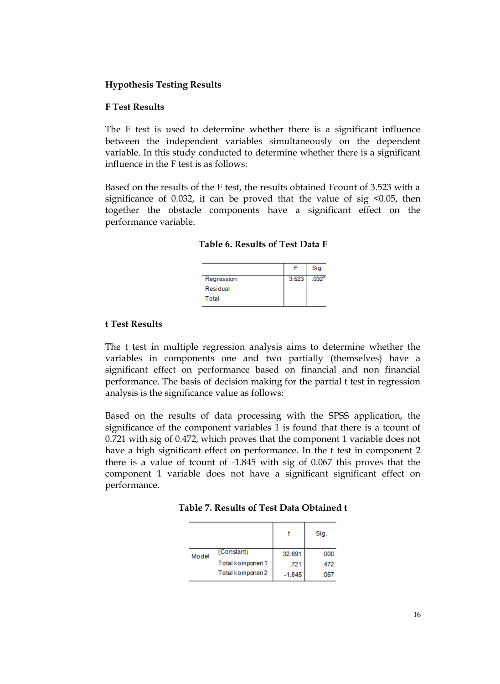## **Hypothesis Testing Results**

#### **F Test Results**

The F test is used to determine whether there is a significant influence between the independent variables simultaneously on the dependent variable. In this study conducted to determine whether there is a significant influence in the F test is as follows:

Based on the results of the F test, the results obtained Fcount of 3.523 with a significance of 0.032, it can be proved that the value of sig  $\leq 0.05$ , then together the obstacle components have a significant effect on the performance variable.

|            |       | Sig.              |
|------------|-------|-------------------|
| Regression | 3.523 | .032 <sup>o</sup> |
| Residual   |       |                   |
| Total      |       |                   |

#### **t Test Results**

The t test in multiple regression analysis aims to determine whether the variables in components one and two partially (themselves) have a significant effect on performance based on financial and non financial performance. The basis of decision making for the partial t test in regression analysis is the significance value as follows:

Based on the results of data processing with the SPSS application, the significance of the component variables 1 is found that there is a tcount of 0.721 with sig of 0.472, which proves that the component 1 variable does not have a high significant effect on performance. In the t test in component 2 there is a value of tcount of -1.845 with sig of 0.067 this proves that the component 1 variable does not have a significant significant effect on performance.

|  | Table 7. Results of Test Data Obtained t |
|--|------------------------------------------|
|--|------------------------------------------|

|       |                  |          | Sig. |
|-------|------------------|----------|------|
| Model | (Constant)       | 32.691   | .000 |
|       | Total komponen 1 | .721     | .472 |
|       | Total komponen 2 | $-1.845$ | 067  |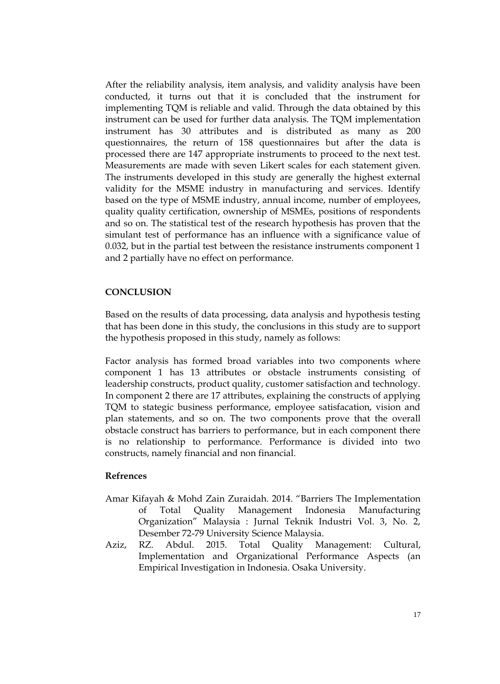After the reliability analysis, item analysis, and validity analysis have been conducted, it turns out that it is concluded that the instrument for implementing TQM is reliable and valid. Through the data obtained by this instrument can be used for further data analysis. The TQM implementation instrument has 30 attributes and is distributed as many as 200 questionnaires, the return of 158 questionnaires but after the data is processed there are 147 appropriate instruments to proceed to the next test. Measurements are made with seven Likert scales for each statement given. The instruments developed in this study are generally the highest external validity for the MSME industry in manufacturing and services. Identify based on the type of MSME industry, annual income, number of employees, quality quality certification, ownership of MSMEs, positions of respondents and so on. The statistical test of the research hypothesis has proven that the simulant test of performance has an influence with a significance value of 0.032, but in the partial test between the resistance instruments component 1 and 2 partially have no effect on performance.

#### **CONCLUSION**

Based on the results of data processing, data analysis and hypothesis testing that has been done in this study, the conclusions in this study are to support the hypothesis proposed in this study, namely as follows:

Factor analysis has formed broad variables into two components where component 1 has 13 attributes or obstacle instruments consisting of leadership constructs, product quality, customer satisfaction and technology. In component 2 there are 17 attributes, explaining the constructs of applying TQM to stategic business performance, employee satisfacation, vision and plan statements, and so on. The two components prove that the overall obstacle construct has barriers to performance, but in each component there is no relationship to performance. Performance is divided into two constructs, namely financial and non financial.

#### **Refrences**

- Amar Kifayah & Mohd Zain Zuraidah. 2014. "Barriers The Implementation of Total Quality Management Indonesia Manufacturing Organization" Malaysia : Jurnal Teknik Industri Vol. 3, No. 2, Desember 72-79 University Science Malaysia.
- Aziz, RZ. Abdul. 2015. Total Quality Management: Cultural, Implementation and Organizational Performance Aspects (an Empirical Investigation in Indonesia. Osaka University.